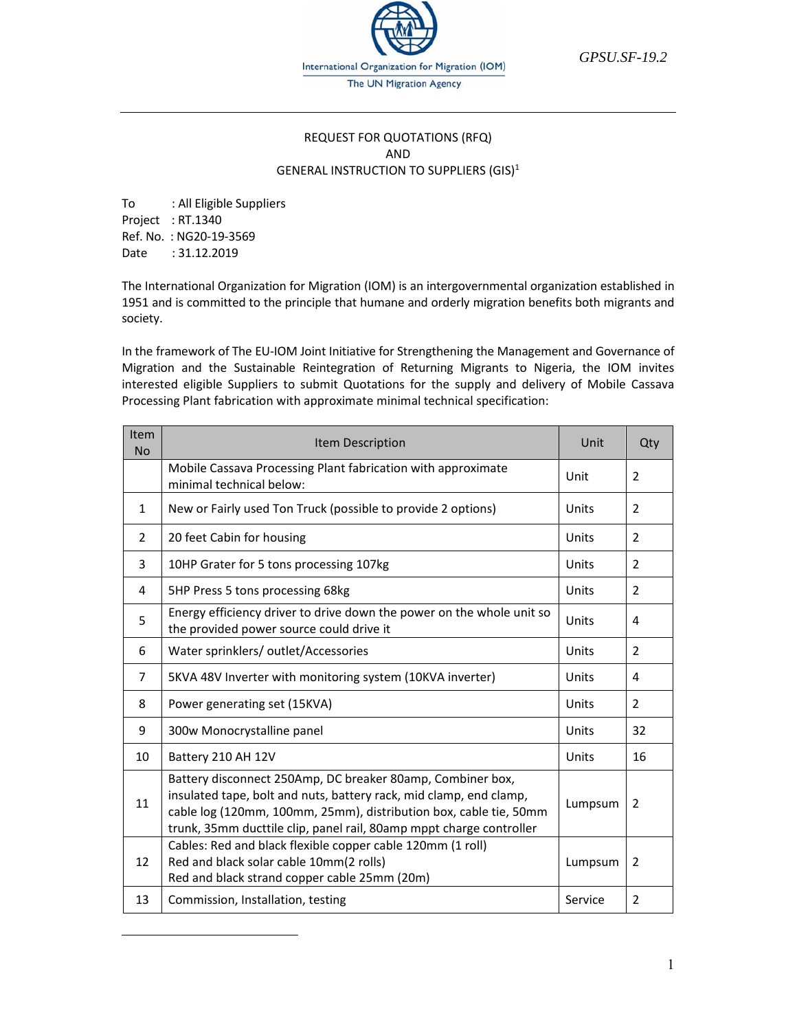International Organization for Migration (IOM) The UN Migration Agency

*GPSU.SF-19.2* 

#### REQUEST FOR QUOTATIONS (RFQ) AND GENERAL INSTRUCTION TO SUPPLIERS (GIS)<sup>1</sup>

To : All Eligible Suppliers Project : RT.1340 Ref. No. : NG20‐19‐3569 Date : 31.12.2019

 $\overline{a}$ 

The International Organization for Migration (IOM) is an intergovernmental organization established in 1951 and is committed to the principle that humane and orderly migration benefits both migrants and society.

In the framework of The EU-IOM Joint Initiative for Strengthening the Management and Governance of Migration and the Sustainable Reintegration of Returning Migrants to Nigeria, the IOM invites interested eligible Suppliers to submit Quotations for the supply and delivery of Mobile Cassava Processing Plant fabrication with approximate minimal technical specification:

| Item<br><b>No</b> | <b>Item Description</b>                                                                                                                                                                                                                                                      | Unit    | Qty            |
|-------------------|------------------------------------------------------------------------------------------------------------------------------------------------------------------------------------------------------------------------------------------------------------------------------|---------|----------------|
|                   | Mobile Cassava Processing Plant fabrication with approximate<br>minimal technical below:                                                                                                                                                                                     | Unit    | $\mathcal{P}$  |
| $\mathbf{1}$      | New or Fairly used Ton Truck (possible to provide 2 options)                                                                                                                                                                                                                 | Units   | 2              |
| 2                 | 20 feet Cabin for housing                                                                                                                                                                                                                                                    | Units   | $\overline{2}$ |
| 3                 | 10HP Grater for 5 tons processing 107kg                                                                                                                                                                                                                                      | Units   | $\mathcal{P}$  |
| 4                 | 5HP Press 5 tons processing 68kg                                                                                                                                                                                                                                             | Units   | $\mathcal{P}$  |
| 5                 | Energy efficiency driver to drive down the power on the whole unit so<br>the provided power source could drive it                                                                                                                                                            | Units   | 4              |
| 6                 | Water sprinklers/outlet/Accessories                                                                                                                                                                                                                                          | Units   | $\mathcal{P}$  |
| 7                 | 5KVA 48V Inverter with monitoring system (10KVA inverter)                                                                                                                                                                                                                    | Units   | 4              |
| 8                 | Power generating set (15KVA)                                                                                                                                                                                                                                                 | Units   | $\mathcal{P}$  |
| 9                 | 300w Monocrystalline panel                                                                                                                                                                                                                                                   | Units   | 32             |
| 10                | Battery 210 AH 12V                                                                                                                                                                                                                                                           | Units   | 16             |
| 11                | Battery disconnect 250Amp, DC breaker 80amp, Combiner box,<br>insulated tape, bolt and nuts, battery rack, mid clamp, end clamp,<br>cable log (120mm, 100mm, 25mm), distribution box, cable tie, 50mm<br>trunk, 35mm ducttile clip, panel rail, 80amp mppt charge controller | Lumpsum | 2              |
| 12                | Cables: Red and black flexible copper cable 120mm (1 roll)<br>Red and black solar cable 10mm(2 rolls)<br>Red and black strand copper cable 25mm (20m)                                                                                                                        | Lumpsum | 2              |
| 13                | Commission, Installation, testing                                                                                                                                                                                                                                            | Service | 2              |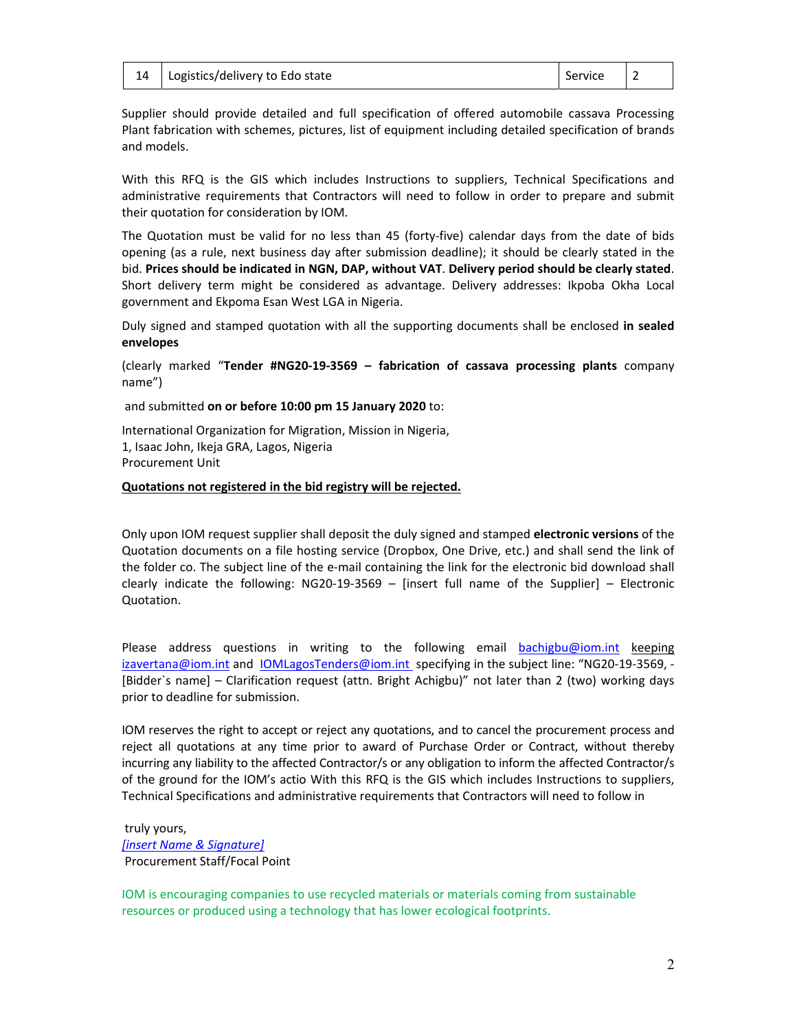|  | 14   Logistics/delivery to Edo state | Service 2 |  |
|--|--------------------------------------|-----------|--|
|--|--------------------------------------|-----------|--|

Supplier should provide detailed and full specification of offered automobile cassava Processing Plant fabrication with schemes, pictures, list of equipment including detailed specification of brands and models.

With this RFQ is the GIS which includes Instructions to suppliers, Technical Specifications and administrative requirements that Contractors will need to follow in order to prepare and submit their quotation for consideration by IOM.

The Quotation must be valid for no less than 45 (forty-five) calendar days from the date of bids opening (as a rule, next business day after submission deadline); it should be clearly stated in the bid. **Prices should be indicated in NGN, DAP, without VAT**. **Delivery period should be clearly stated**. Short delivery term might be considered as advantage. Delivery addresses: Ikpoba Okha Local government and Ekpoma Esan West LGA in Nigeria.

Duly signed and stamped quotation with all the supporting documents shall be enclosed **in sealed envelopes**

(clearly marked "**Tender #NG20‐19‐3569 – fabrication of cassava processing plants** company name")

and submitted **on or before 10:00 pm 15 January 2020** to:

International Organization for Migration, Mission in Nigeria, 1, Isaac John, Ikeja GRA, Lagos, Nigeria Procurement Unit

#### **Quotations not registered in the bid registry will be rejected.**

Only upon IOM request supplier shall deposit the duly signed and stamped **electronic versions** of the Quotation documents on a file hosting service (Dropbox, One Drive, etc.) and shall send the link of the folder co. The subject line of the e‐mail containing the link for the electronic bid download shall clearly indicate the following: NG20‐19‐3569 – [insert full name of the Supplier] – Electronic Quotation.

Please address questions in writing to the following email bachigbu@iom.int keeping izavertana@iom.int and **IOMLagosTenders@iom.int** specifying in the subject line: "NG20-19-3569, -[Bidder`s name] – Clarification request (attn. Bright Achigbu)" not later than 2 (two) working days prior to deadline for submission.

IOM reserves the right to accept or reject any quotations, and to cancel the procurement process and reject all quotations at any time prior to award of Purchase Order or Contract, without thereby incurring any liability to the affected Contractor/s or any obligation to inform the affected Contractor/s of the ground for the IOM's actio With this RFQ is the GIS which includes Instructions to suppliers, Technical Specifications and administrative requirements that Contractors will need to follow in

 truly yours, *[insert Name & Signature]*  Procurement Staff/Focal Point

IOM is encouraging companies to use recycled materials or materials coming from sustainable resources or produced using a technology that has lower ecological footprints.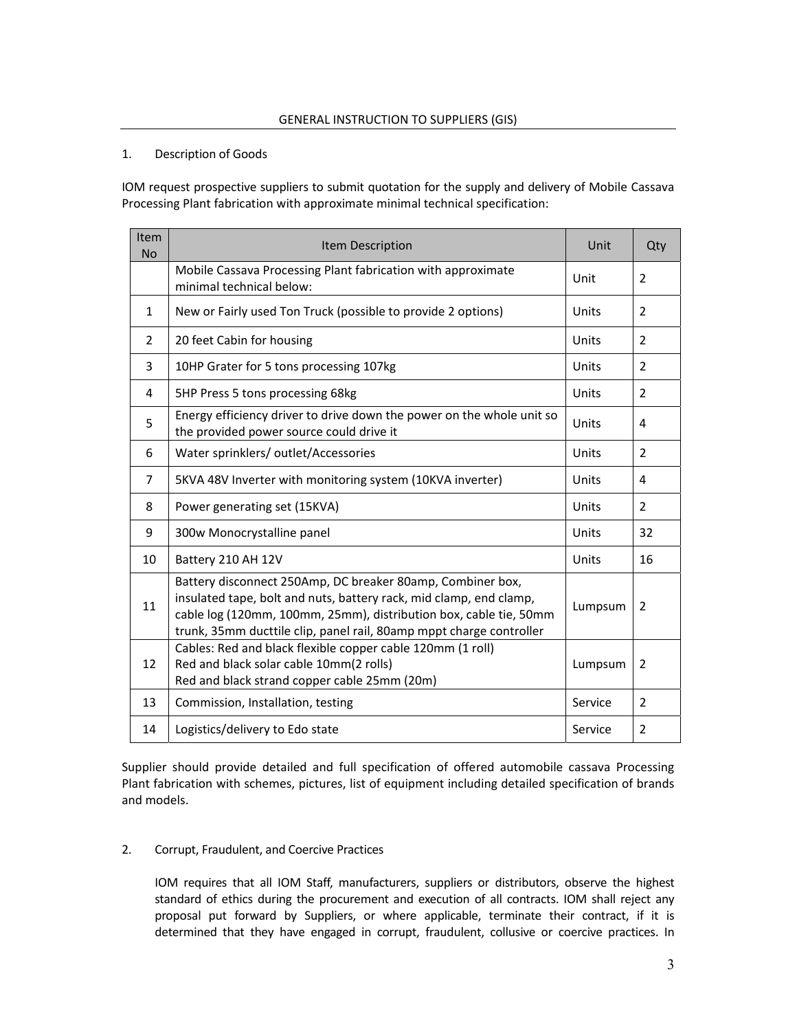#### 1. Description of Goods

IOM request prospective suppliers to submit quotation for the supply and delivery of Mobile Cassava Processing Plant fabrication with approximate minimal technical specification:

| Item<br><b>No</b> | Item Description                                                                                                                                                                                                                                                             | Unit         | Qty            |
|-------------------|------------------------------------------------------------------------------------------------------------------------------------------------------------------------------------------------------------------------------------------------------------------------------|--------------|----------------|
|                   | Mobile Cassava Processing Plant fabrication with approximate<br>minimal technical below:                                                                                                                                                                                     | Unit         | $\overline{2}$ |
| 1                 | New or Fairly used Ton Truck (possible to provide 2 options)                                                                                                                                                                                                                 | Units        | $\overline{2}$ |
| 2                 | 20 feet Cabin for housing                                                                                                                                                                                                                                                    | Units        | 2              |
| 3                 | 10HP Grater for 5 tons processing 107kg                                                                                                                                                                                                                                      | Units        | $\mathcal{P}$  |
| 4                 | 5HP Press 5 tons processing 68kg                                                                                                                                                                                                                                             | Units        | $\overline{2}$ |
| 5                 | Energy efficiency driver to drive down the power on the whole unit so<br>the provided power source could drive it                                                                                                                                                            | Units        | 4              |
| 6                 | Water sprinklers/outlet/Accessories                                                                                                                                                                                                                                          | Units        | $\overline{2}$ |
| $\overline{7}$    | 5KVA 48V Inverter with monitoring system (10KVA inverter)                                                                                                                                                                                                                    |              | 4              |
| 8                 | Power generating set (15KVA)                                                                                                                                                                                                                                                 | <b>Units</b> | $\overline{2}$ |
| 9                 | 300w Monocrystalline panel                                                                                                                                                                                                                                                   | Units        | 32             |
| 10                | Battery 210 AH 12V                                                                                                                                                                                                                                                           | Units        | 16             |
| 11                | Battery disconnect 250Amp, DC breaker 80amp, Combiner box,<br>insulated tape, bolt and nuts, battery rack, mid clamp, end clamp,<br>cable log (120mm, 100mm, 25mm), distribution box, cable tie, 50mm<br>trunk, 35mm ducttile clip, panel rail, 80amp mppt charge controller | Lumpsum      | 2              |
| 12                | Cables: Red and black flexible copper cable 120mm (1 roll)<br>Red and black solar cable 10mm(2 rolls)<br>Red and black strand copper cable 25mm (20m)                                                                                                                        |              | 2              |
| 13                | Commission, Installation, testing                                                                                                                                                                                                                                            | Service      | $\overline{2}$ |
| 14                | Logistics/delivery to Edo state                                                                                                                                                                                                                                              | Service      | $\overline{2}$ |

Supplier should provide detailed and full specification of offered automobile cassava Processing Plant fabrication with schemes, pictures, list of equipment including detailed specification of brands and models.

#### 2. Corrupt, Fraudulent, and Coercive Practices

IOM requires that all IOM Staff, manufacturers, suppliers or distributors, observe the highest standard of ethics during the procurement and execution of all contracts. IOM shall reject any proposal put forward by Suppliers, or where applicable, terminate their contract, if it is determined that they have engaged in corrupt, fraudulent, collusive or coercive practices. In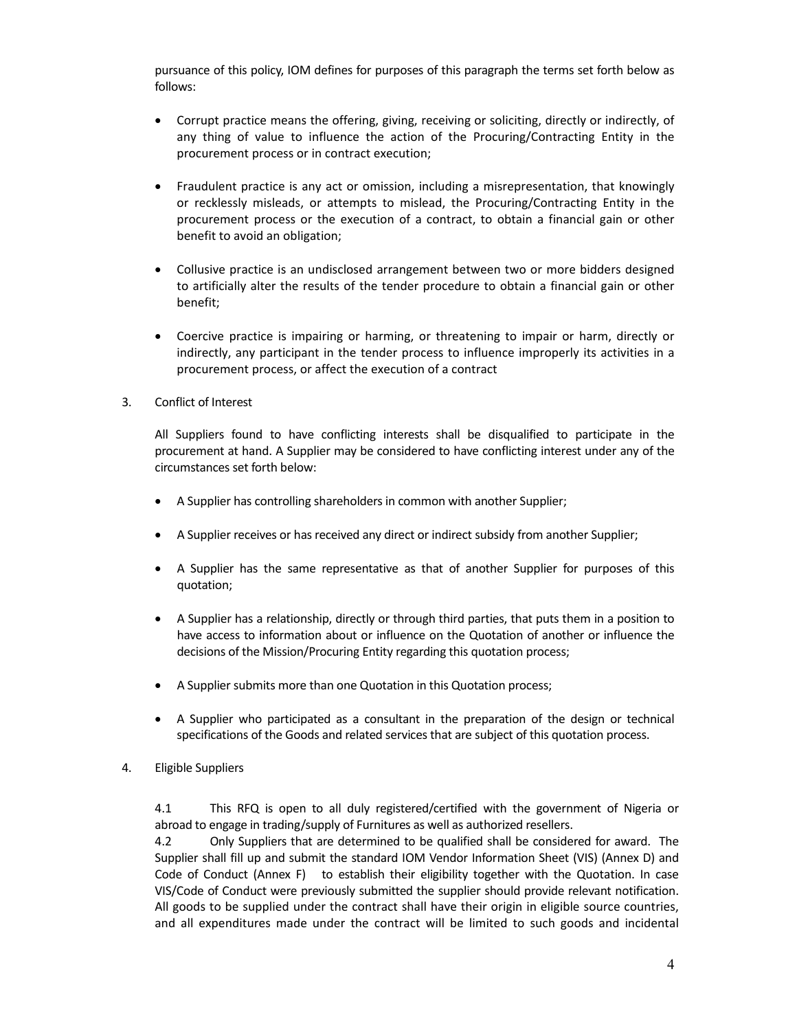pursuance of this policy, IOM defines for purposes of this paragraph the terms set forth below as follows:

- Corrupt practice means the offering, giving, receiving or soliciting, directly or indirectly, of any thing of value to influence the action of the Procuring/Contracting Entity in the procurement process or in contract execution;
- Fraudulent practice is any act or omission, including a misrepresentation, that knowingly or recklessly misleads, or attempts to mislead, the Procuring/Contracting Entity in the procurement process or the execution of a contract, to obtain a financial gain or other benefit to avoid an obligation;
- Collusive practice is an undisclosed arrangement between two or more bidders designed to artificially alter the results of the tender procedure to obtain a financial gain or other benefit;
- Coercive practice is impairing or harming, or threatening to impair or harm, directly or indirectly, any participant in the tender process to influence improperly its activities in a procurement process, or affect the execution of a contract
- 3. Conflict of Interest

All Suppliers found to have conflicting interests shall be disqualified to participate in the procurement at hand. A Supplier may be considered to have conflicting interest under any of the circumstances set forth below:

- A Supplier has controlling shareholders in common with another Supplier;
- A Supplier receives or has received any direct or indirect subsidy from another Supplier;
- A Supplier has the same representative as that of another Supplier for purposes of this quotation;
- A Supplier has a relationship, directly or through third parties, that puts them in a position to have access to information about or influence on the Quotation of another or influence the decisions of the Mission/Procuring Entity regarding this quotation process;
- A Supplier submits more than one Quotation in this Quotation process;
- A Supplier who participated as a consultant in the preparation of the design or technical specifications of the Goods and related services that are subject of this quotation process.
- 4. Eligible Suppliers

4.1 This RFQ is open to all duly registered/certified with the government of Nigeria or abroad to engage in trading/supply of Furnitures as well as authorized resellers.

4.2 Only Suppliers that are determined to be qualified shall be considered for award. The Supplier shall fill up and submit the standard IOM Vendor Information Sheet (VIS) (Annex D) and Code of Conduct (Annex F) to establish their eligibility together with the Quotation. In case VIS/Code of Conduct were previously submitted the supplier should provide relevant notification. All goods to be supplied under the contract shall have their origin in eligible source countries, and all expenditures made under the contract will be limited to such goods and incidental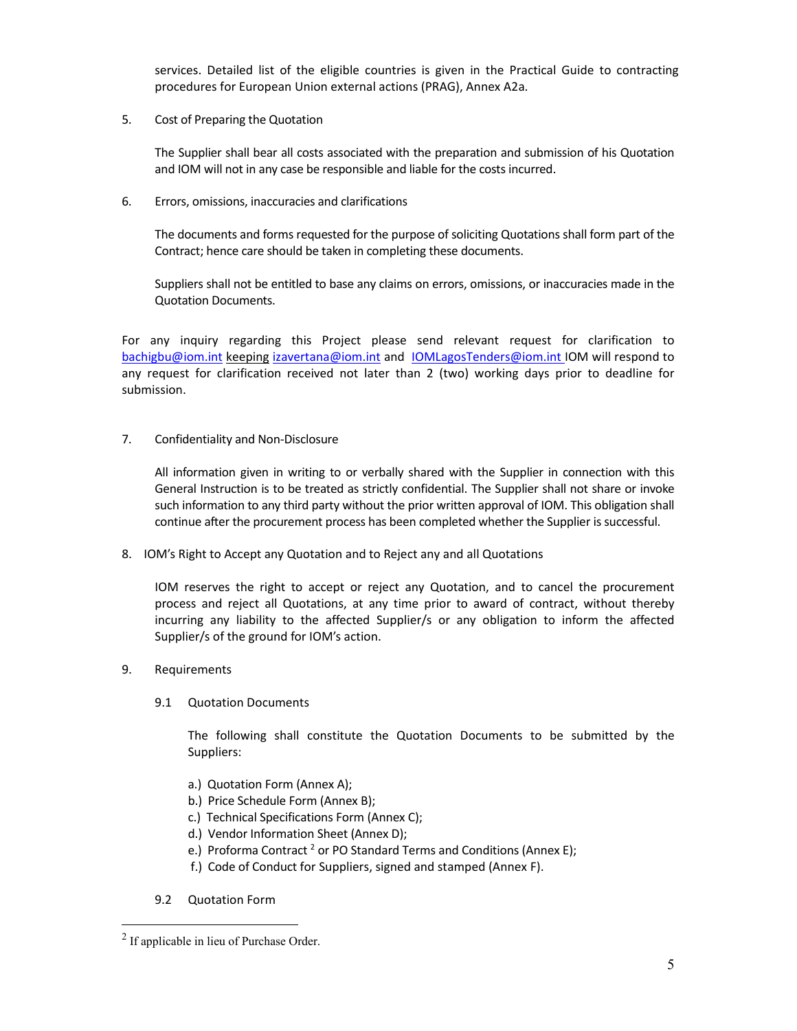services. Detailed list of the eligible countries is given in the Practical Guide to contracting procedures for European Union external actions (PRAG), Annex A2a.

5. Cost of Preparing the Quotation

The Supplier shall bear all costs associated with the preparation and submission of his Quotation and IOM will not in any case be responsible and liable for the costs incurred.

6. Errors, omissions, inaccuracies and clarifications

The documents and forms requested for the purpose of soliciting Quotations shall form part of the Contract; hence care should be taken in completing these documents.

Suppliers shall not be entitled to base any claims on errors, omissions, or inaccuracies made in the Quotation Documents.

For any inquiry regarding this Project please send relevant request for clarification to bachigbu@iom.int keeping izavertana@iom.int and IOMLagosTenders@iom.int IOM will respond to any request for clarification received not later than 2 (two) working days prior to deadline for submission.

7. Confidentiality and Non‐Disclosure

All information given in writing to or verbally shared with the Supplier in connection with this General Instruction is to be treated as strictly confidential. The Supplier shall not share or invoke such information to any third party without the prior written approval of IOM. This obligation shall continue after the procurement process has been completed whether the Supplier is successful.

8. IOM's Right to Accept any Quotation and to Reject any and all Quotations

IOM reserves the right to accept or reject any Quotation, and to cancel the procurement process and reject all Quotations, at any time prior to award of contract, without thereby incurring any liability to the affected Supplier/s or any obligation to inform the affected Supplier/s of the ground for IOM's action.

- 9. Requirements
	- 9.1 Quotation Documents

The following shall constitute the Quotation Documents to be submitted by the Suppliers:

- a.) Quotation Form (Annex A);
- b.) Price Schedule Form (Annex B);
- c.) Technical Specifications Form (Annex C);
- d.) Vendor Information Sheet (Annex D);
- e.) Proforma Contract<sup>2</sup> or PO Standard Terms and Conditions (Annex E);
- f.) Code of Conduct for Suppliers, signed and stamped (Annex F).
- 9.2 Quotation Form

 $\overline{a}$ 

<sup>2</sup> If applicable in lieu of Purchase Order.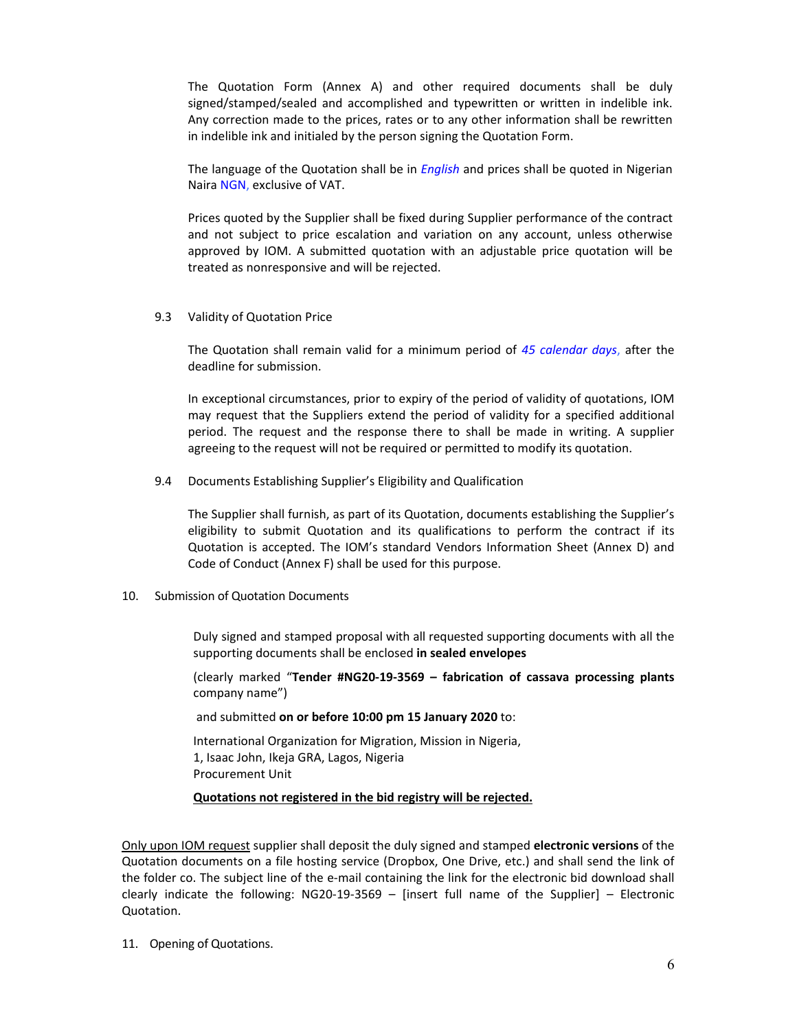The Quotation Form (Annex A) and other required documents shall be duly signed/stamped/sealed and accomplished and typewritten or written in indelible ink. Any correction made to the prices, rates or to any other information shall be rewritten in indelible ink and initialed by the person signing the Quotation Form.

The language of the Quotation shall be in *English* and prices shall be quoted in Nigerian Naira NGN, exclusive of VAT.

Prices quoted by the Supplier shall be fixed during Supplier performance of the contract and not subject to price escalation and variation on any account, unless otherwise approved by IOM. A submitted quotation with an adjustable price quotation will be treated as nonresponsive and will be rejected.

#### 9.3 Validity of Quotation Price

The Quotation shall remain valid for a minimum period of *45 calendar days*, after the deadline for submission.

In exceptional circumstances, prior to expiry of the period of validity of quotations, IOM may request that the Suppliers extend the period of validity for a specified additional period. The request and the response there to shall be made in writing. A supplier agreeing to the request will not be required or permitted to modify its quotation.

9.4 Documents Establishing Supplier's Eligibility and Qualification

The Supplier shall furnish, as part of its Quotation, documents establishing the Supplier's eligibility to submit Quotation and its qualifications to perform the contract if its Quotation is accepted. The IOM's standard Vendors Information Sheet (Annex D) and Code of Conduct (Annex F) shall be used for this purpose.

10. Submission of Quotation Documents

Duly signed and stamped proposal with all requested supporting documents with all the supporting documents shall be enclosed **in sealed envelopes**

(clearly marked "**Tender #NG20‐19‐3569 – fabrication of cassava processing plants** company name")

and submitted **on or before 10:00 pm 15 January 2020** to:

International Organization for Migration, Mission in Nigeria, 1, Isaac John, Ikeja GRA, Lagos, Nigeria Procurement Unit

#### **Quotations not registered in the bid registry will be rejected.**

Only upon IOM request supplier shall deposit the duly signed and stamped **electronic versions** of the Quotation documents on a file hosting service (Dropbox, One Drive, etc.) and shall send the link of the folder co. The subject line of the e-mail containing the link for the electronic bid download shall clearly indicate the following: NG20‐19‐3569 – [insert full name of the Supplier] – Electronic Quotation.

11. Opening of Quotations.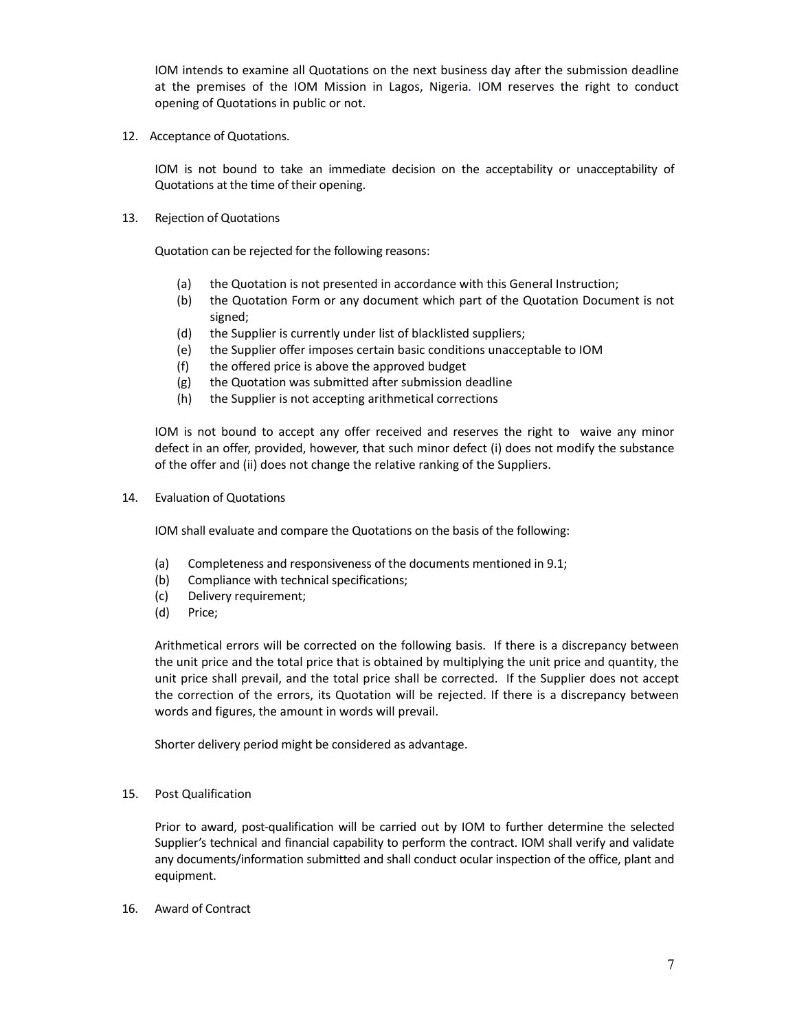IOM intends to examine all Quotations on the next business day after the submission deadline at the premises of the IOM Mission in Lagos, Nigeria*.* IOM reserves the right to conduct opening of Quotations in public or not.

12. Acceptance of Quotations.

IOM is not bound to take an immediate decision on the acceptability or unacceptability of Quotations at the time of their opening.

13. Rejection of Quotations

Quotation can be rejected for the following reasons:

- (a) the Quotation is not presented in accordance with this General Instruction;
- (b) the Quotation Form or any document which part of the Quotation Document is not signed;
- (d) the Supplier is currently under list of blacklisted suppliers;
- (e) the Supplier offer imposes certain basic conditions unacceptable to IOM
- (f) the offered price is above the approved budget
- (g) the Quotation was submitted after submission deadline
- (h) the Supplier is not accepting arithmetical corrections

IOM is not bound to accept any offer received and reserves the right to waive any minor defect in an offer, provided, however, that such minor defect (i) does not modify the substance of the offer and (ii) does not change the relative ranking of the Suppliers.

14. Evaluation of Quotations

IOM shall evaluate and compare the Quotations on the basis of the following:

- (a) Completeness and responsiveness of the documents mentioned in 9.1;
- (b) Compliance with technical specifications;
- (c) Delivery requirement;
- (d) Price;

Arithmetical errors will be corrected on the following basis. If there is a discrepancy between the unit price and the total price that is obtained by multiplying the unit price and quantity, the unit price shall prevail, and the total price shall be corrected. If the Supplier does not accept the correction of the errors, its Quotation will be rejected. If there is a discrepancy between words and figures, the amount in words will prevail.

Shorter delivery period might be considered as advantage.

15. Post Qualification

Prior to award, post-qualification will be carried out by IOM to further determine the selected Supplier's technical and financial capability to perform the contract. IOM shall verify and validate any documents/information submitted and shall conduct ocular inspection of the office, plant and equipment.

16. Award of Contract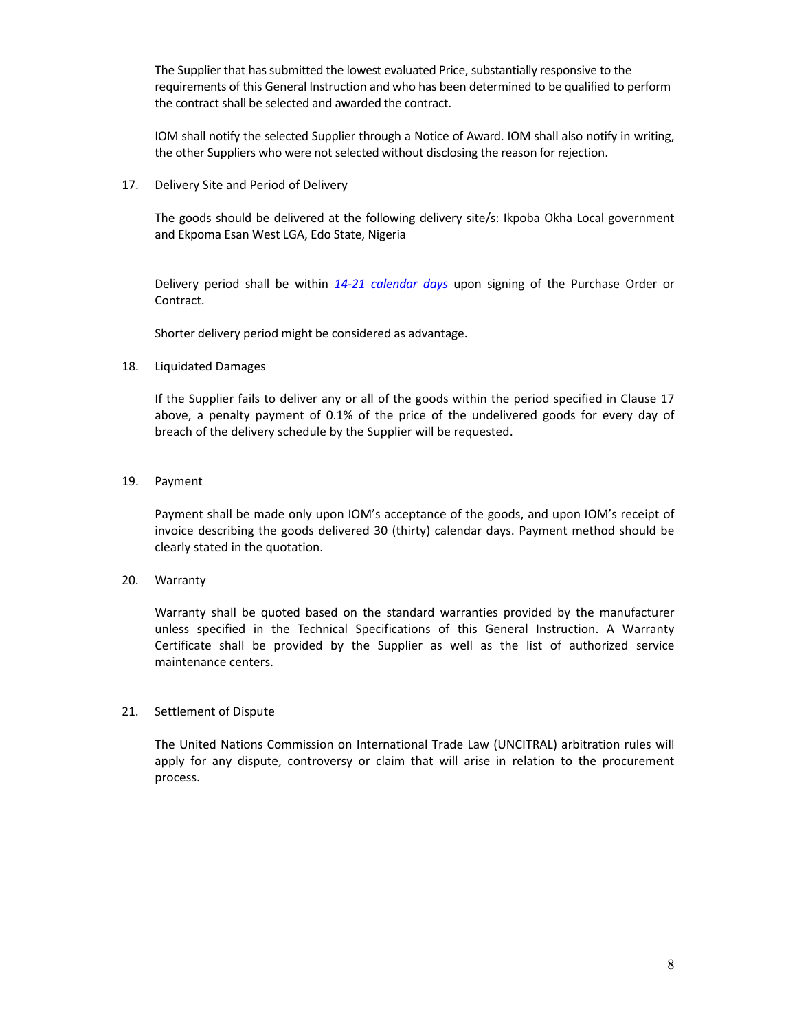The Supplier that has submitted the lowest evaluated Price, substantially responsive to the requirements of this General Instruction and who has been determined to be qualified to perform the contract shall be selected and awarded the contract.

IOM shall notify the selected Supplier through a Notice of Award. IOM shall also notify in writing, the other Suppliers who were not selected without disclosing the reason for rejection.

17. Delivery Site and Period of Delivery

The goods should be delivered at the following delivery site/s: Ikpoba Okha Local government and Ekpoma Esan West LGA, Edo State, Nigeria

Delivery period shall be within 14-21 calendar days upon signing of the Purchase Order or Contract.

Shorter delivery period might be considered as advantage.

#### 18. Liquidated Damages

If the Supplier fails to deliver any or all of the goods within the period specified in Clause 17 above, a penalty payment of 0.1% of the price of the undelivered goods for every day of breach of the delivery schedule by the Supplier will be requested.

#### 19. Payment

 Payment shall be made only upon IOM's acceptance of the goods, and upon IOM's receipt of invoice describing the goods delivered 30 (thirty) calendar days. Payment method should be clearly stated in the quotation.

20. Warranty

Warranty shall be quoted based on the standard warranties provided by the manufacturer unless specified in the Technical Specifications of this General Instruction. A Warranty Certificate shall be provided by the Supplier as well as the list of authorized service maintenance centers.

#### 21. Settlement of Dispute

The United Nations Commission on International Trade Law (UNCITRAL) arbitration rules will apply for any dispute, controversy or claim that will arise in relation to the procurement process.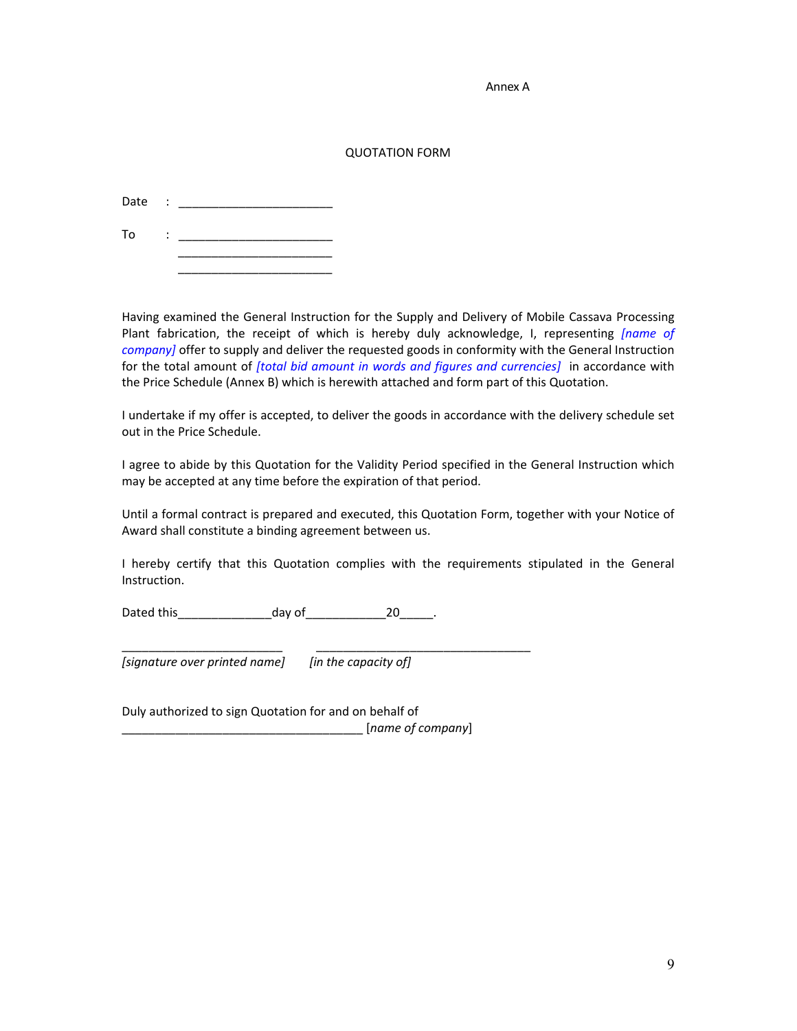Annex A

#### QUOTATION FORM

Date : \_\_\_\_\_\_\_\_\_\_\_\_\_\_\_\_\_\_\_\_\_\_\_

To  $\qquad \qquad : \qquad \qquad$  $\overline{\phantom{a}}$  ,  $\overline{\phantom{a}}$  ,  $\overline{\phantom{a}}$  ,  $\overline{\phantom{a}}$  ,  $\overline{\phantom{a}}$  ,  $\overline{\phantom{a}}$  ,  $\overline{\phantom{a}}$  ,  $\overline{\phantom{a}}$  ,  $\overline{\phantom{a}}$  ,  $\overline{\phantom{a}}$  ,  $\overline{\phantom{a}}$  ,  $\overline{\phantom{a}}$  ,  $\overline{\phantom{a}}$  ,  $\overline{\phantom{a}}$  ,  $\overline{\phantom{a}}$  ,  $\overline{\phantom{a}}$ 

 $\overline{\phantom{a}}$  ,  $\overline{\phantom{a}}$  ,  $\overline{\phantom{a}}$  ,  $\overline{\phantom{a}}$  ,  $\overline{\phantom{a}}$  ,  $\overline{\phantom{a}}$  ,  $\overline{\phantom{a}}$  ,  $\overline{\phantom{a}}$  ,  $\overline{\phantom{a}}$  ,  $\overline{\phantom{a}}$  ,  $\overline{\phantom{a}}$  ,  $\overline{\phantom{a}}$  ,  $\overline{\phantom{a}}$  ,  $\overline{\phantom{a}}$  ,  $\overline{\phantom{a}}$  ,  $\overline{\phantom{a}}$ 

Having examined the General Instruction for the Supply and Delivery of Mobile Cassava Processing Plant fabrication, the receipt of which is hereby duly acknowledge, I, representing *[name of company]* offer to supply and deliver the requested goods in conformity with the General Instruction for the total amount of *[total bid amount in words and figures and currencies]*  in accordance with the Price Schedule (Annex B) which is herewith attached and form part of this Quotation.

I undertake if my offer is accepted, to deliver the goods in accordance with the delivery schedule set out in the Price Schedule.

I agree to abide by this Quotation for the Validity Period specified in the General Instruction which may be accepted at any time before the expiration of that period.

Until a formal contract is prepared and executed, this Quotation Form, together with your Notice of Award shall constitute a binding agreement between us.

I hereby certify that this Quotation complies with the requirements stipulated in the General Instruction.

Dated this\_\_\_\_\_\_\_\_\_\_\_\_\_\_day of\_\_\_\_\_\_\_\_\_\_\_\_20\_\_\_\_\_.

\_\_\_\_\_\_\_\_\_\_\_\_\_\_\_\_\_\_\_\_\_\_\_\_ \_\_\_\_\_\_\_\_\_\_\_\_\_\_\_\_\_\_\_\_\_\_\_\_\_\_\_\_\_\_\_\_ *[signature over printed name] [in the capacity of]* 

Duly authorized to sign Quotation for and on behalf of \_\_\_\_\_\_\_\_\_\_\_\_\_\_\_\_\_\_\_\_\_\_\_\_\_\_\_\_\_\_\_\_\_\_\_\_ [*name of company*]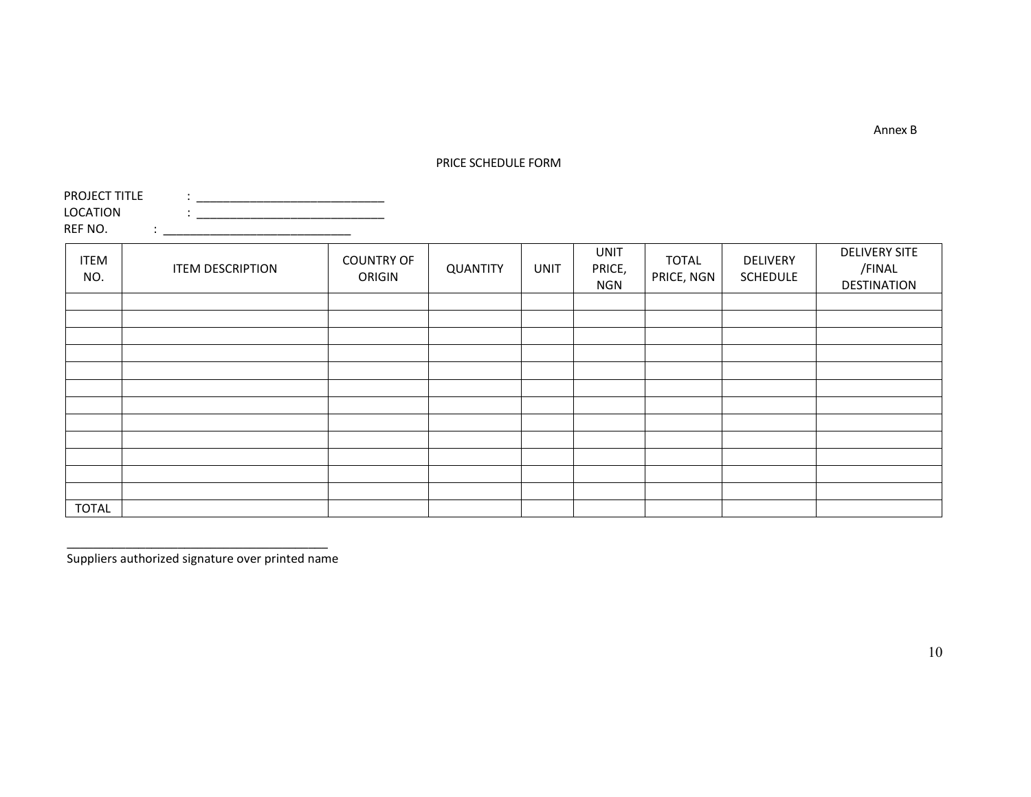#### PRICE SCHEDULE FORM

PROJECT TITLE  $\qquad : \_$  LOCATION : \_\_\_\_\_\_\_\_\_\_\_\_\_\_\_\_\_\_\_\_\_\_\_\_\_\_\_\_ REF NO. : \_\_\_\_\_\_\_\_\_\_\_\_\_\_\_\_\_\_\_\_\_\_\_\_\_\_\_\_

| <b>ITEM</b><br>NO. | <b>ITEM DESCRIPTION</b> | <b>COUNTRY OF</b><br>ORIGIN | <b>QUANTITY</b> | <b>UNIT</b> | <b>UNIT</b><br>PRICE,<br><b>NGN</b> | <b>TOTAL</b><br>PRICE, NGN | DELIVERY<br><b>SCHEDULE</b> | <b>DELIVERY SITE</b><br>/FINAL<br><b>DESTINATION</b> |
|--------------------|-------------------------|-----------------------------|-----------------|-------------|-------------------------------------|----------------------------|-----------------------------|------------------------------------------------------|
|                    |                         |                             |                 |             |                                     |                            |                             |                                                      |
|                    |                         |                             |                 |             |                                     |                            |                             |                                                      |
|                    |                         |                             |                 |             |                                     |                            |                             |                                                      |
|                    |                         |                             |                 |             |                                     |                            |                             |                                                      |
|                    |                         |                             |                 |             |                                     |                            |                             |                                                      |
|                    |                         |                             |                 |             |                                     |                            |                             |                                                      |
|                    |                         |                             |                 |             |                                     |                            |                             |                                                      |
|                    |                         |                             |                 |             |                                     |                            |                             |                                                      |
|                    |                         |                             |                 |             |                                     |                            |                             |                                                      |
|                    |                         |                             |                 |             |                                     |                            |                             |                                                      |
|                    |                         |                             |                 |             |                                     |                            |                             |                                                      |
|                    |                         |                             |                 |             |                                     |                            |                             |                                                      |
| <b>TOTAL</b>       |                         |                             |                 |             |                                     |                            |                             |                                                      |

Suppliers authorized signature over printed name

Annex B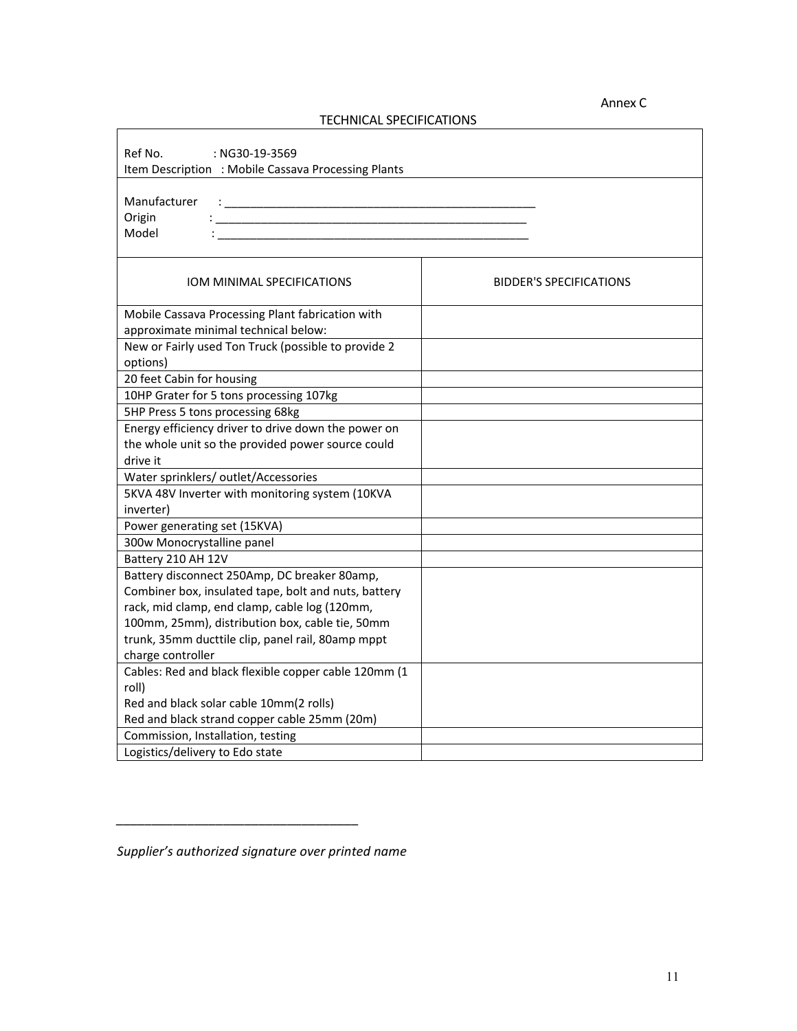#### Annex C

# TECHNICAL SPECIFICATIONS

| Ref No.<br>: NG30-19-3569<br>Item Description : Mobile Cassava Processing Plants                                                                                                                                    |                                |  |  |  |
|---------------------------------------------------------------------------------------------------------------------------------------------------------------------------------------------------------------------|--------------------------------|--|--|--|
| Manufacturer<br>design and the control of the control of the control of the control of the control of the control of the control of<br>Origin<br><u> 1989 - Johann Barbara, martin amerikan personal (</u><br>Model |                                |  |  |  |
| IOM MINIMAL SPECIFICATIONS                                                                                                                                                                                          | <b>BIDDER'S SPECIFICATIONS</b> |  |  |  |
| Mobile Cassava Processing Plant fabrication with                                                                                                                                                                    |                                |  |  |  |
| approximate minimal technical below:                                                                                                                                                                                |                                |  |  |  |
| New or Fairly used Ton Truck (possible to provide 2<br>options)                                                                                                                                                     |                                |  |  |  |
| 20 feet Cabin for housing                                                                                                                                                                                           |                                |  |  |  |
| 10HP Grater for 5 tons processing 107kg                                                                                                                                                                             |                                |  |  |  |
| 5HP Press 5 tons processing 68kg                                                                                                                                                                                    |                                |  |  |  |
| Energy efficiency driver to drive down the power on<br>the whole unit so the provided power source could                                                                                                            |                                |  |  |  |
| drive it                                                                                                                                                                                                            |                                |  |  |  |
| Water sprinklers/ outlet/Accessories                                                                                                                                                                                |                                |  |  |  |
| 5KVA 48V Inverter with monitoring system (10KVA<br>inverter)                                                                                                                                                        |                                |  |  |  |
| Power generating set (15KVA)                                                                                                                                                                                        |                                |  |  |  |
| 300w Monocrystalline panel                                                                                                                                                                                          |                                |  |  |  |
| Battery 210 AH 12V                                                                                                                                                                                                  |                                |  |  |  |
| Battery disconnect 250Amp, DC breaker 80amp,                                                                                                                                                                        |                                |  |  |  |
| Combiner box, insulated tape, bolt and nuts, battery                                                                                                                                                                |                                |  |  |  |
| rack, mid clamp, end clamp, cable log (120mm,                                                                                                                                                                       |                                |  |  |  |
| 100mm, 25mm), distribution box, cable tie, 50mm                                                                                                                                                                     |                                |  |  |  |
| trunk, 35mm ducttile clip, panel rail, 80amp mppt                                                                                                                                                                   |                                |  |  |  |
| charge controller                                                                                                                                                                                                   |                                |  |  |  |
| Cables: Red and black flexible copper cable 120mm (1                                                                                                                                                                |                                |  |  |  |
| roll)                                                                                                                                                                                                               |                                |  |  |  |
| Red and black solar cable 10mm(2 rolls)                                                                                                                                                                             |                                |  |  |  |
| Red and black strand copper cable 25mm (20m)                                                                                                                                                                        |                                |  |  |  |
| Commission, Installation, testing                                                                                                                                                                                   |                                |  |  |  |
| Logistics/delivery to Edo state                                                                                                                                                                                     |                                |  |  |  |

*\_\_\_\_\_\_\_\_\_\_\_\_\_\_\_\_\_\_\_\_\_\_\_\_\_\_\_\_\_\_\_\_\_\_* 

*Supplier's authorized signature over printed name*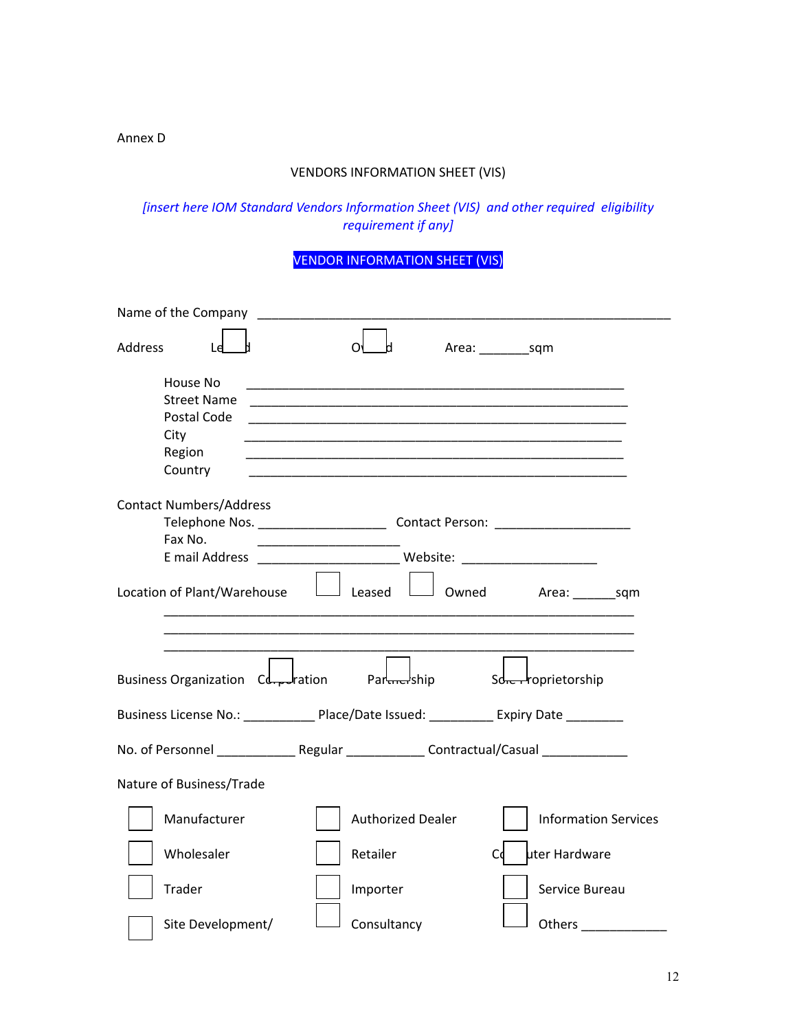### Annex D

## VENDORS INFORMATION SHEET (VIS)

*[insert here IOM Standard Vendors Information Sheet (VIS) and other required eligibility requirement if any]* 

# VENDOR INFORMATION SHEET (VIS)

| Name of the Company                                                                      |                                                                                                                       |                                                                                             |
|------------------------------------------------------------------------------------------|-----------------------------------------------------------------------------------------------------------------------|---------------------------------------------------------------------------------------------|
| Address                                                                                  | Ω                                                                                                                     | Area: _______________sqm                                                                    |
| House No<br><b>Street Name</b>                                                           |                                                                                                                       |                                                                                             |
| Postal Code                                                                              |                                                                                                                       |                                                                                             |
| City<br>Region                                                                           | <u> 1989 - Johann Stoff, deutscher Stoff, der Stoff, der Stoff, der Stoff, der Stoff, der Stoff, der Stoff, der S</u> |                                                                                             |
| Country                                                                                  |                                                                                                                       |                                                                                             |
| <b>Contact Numbers/Address</b>                                                           |                                                                                                                       |                                                                                             |
|                                                                                          |                                                                                                                       |                                                                                             |
| Fax No.                                                                                  |                                                                                                                       |                                                                                             |
|                                                                                          |                                                                                                                       |                                                                                             |
|                                                                                          |                                                                                                                       | Location of Plant/Warehouse $\Box$ Leased $\Box$ Owned Area: sqm                            |
|                                                                                          |                                                                                                                       |                                                                                             |
|                                                                                          |                                                                                                                       |                                                                                             |
| Business Organization Cd <sub>re</sub> dration Pard Part Policy Part Schen Poprietorship |                                                                                                                       |                                                                                             |
| Business License No.: _____________ Place/Date Issued: ___________ Expiry Date ________  |                                                                                                                       |                                                                                             |
|                                                                                          |                                                                                                                       | No. of Personnel ________________ Regular _______________ Contractual/Casual ______________ |
| Nature of Business/Trade                                                                 |                                                                                                                       |                                                                                             |
| Manufacturer                                                                             | <b>Authorized Dealer</b>                                                                                              | <b>Information Services</b>                                                                 |
| Wholesaler                                                                               | Retailer                                                                                                              | uter Hardware<br>Сd                                                                         |
| Trader                                                                                   | Importer                                                                                                              | Service Bureau                                                                              |
| Site Development/                                                                        | Consultancy                                                                                                           | Others _____________                                                                        |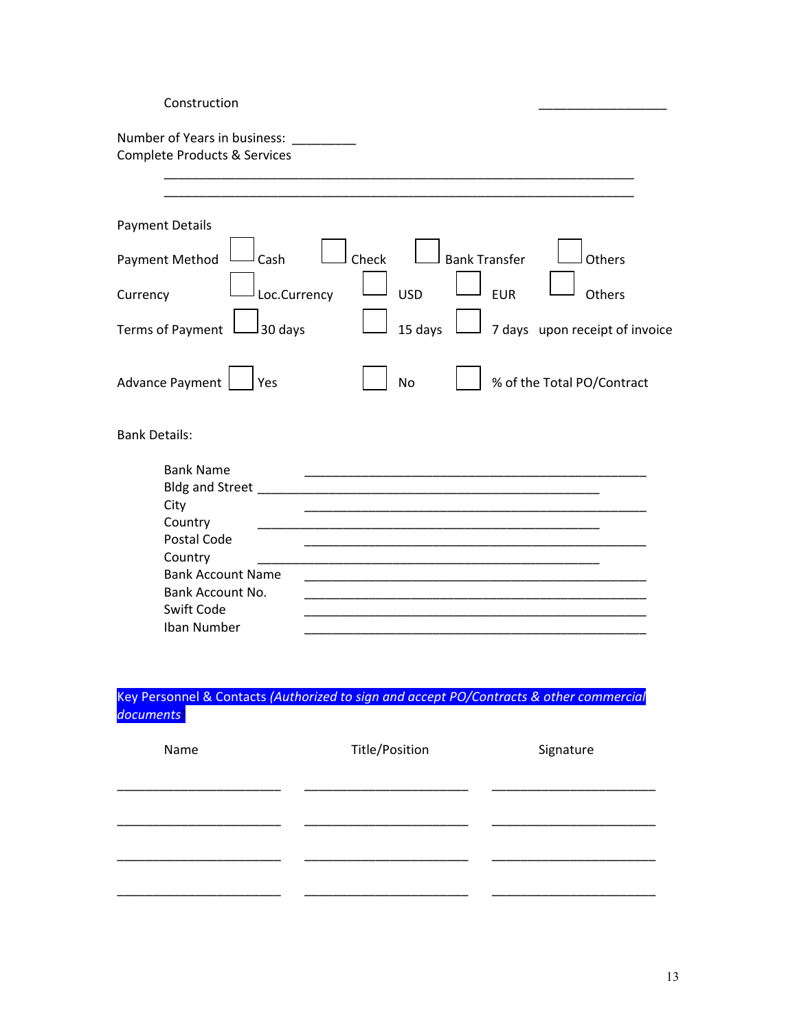| Construction                                                                                                                                                  |                               |                                |
|---------------------------------------------------------------------------------------------------------------------------------------------------------------|-------------------------------|--------------------------------|
| Number of Years in business:<br><b>Complete Products &amp; Services</b>                                                                                       |                               |                                |
| <b>Payment Details</b>                                                                                                                                        |                               |                                |
| Payment Method<br>Cash                                                                                                                                        | Check<br><b>Bank Transfer</b> | Others                         |
| Loc.Currency<br>Currency                                                                                                                                      | <b>USD</b><br><b>EUR</b>      | Others                         |
| <b>Terms of Payment</b><br>30 days                                                                                                                            | 15 days                       | 7 days upon receipt of invoice |
| <b>Advance Payment</b><br>Yes                                                                                                                                 | <b>No</b>                     | % of the Total PO/Contract     |
| <b>Bank Details:</b>                                                                                                                                          |                               |                                |
| <b>Bank Name</b><br>Bldg and Street<br>City<br>Country<br>Postal Code<br>Country<br><b>Bank Account Name</b><br>Bank Account No.<br>Swift Code<br>Iban Number |                               |                                |

Key Personnel & Contacts *(Authorized to sign and accept PO/Contracts & other commercial documents)*

| Name | Title/Position | Signature |
|------|----------------|-----------|
|      |                |           |
|      |                |           |
|      |                |           |
|      |                |           |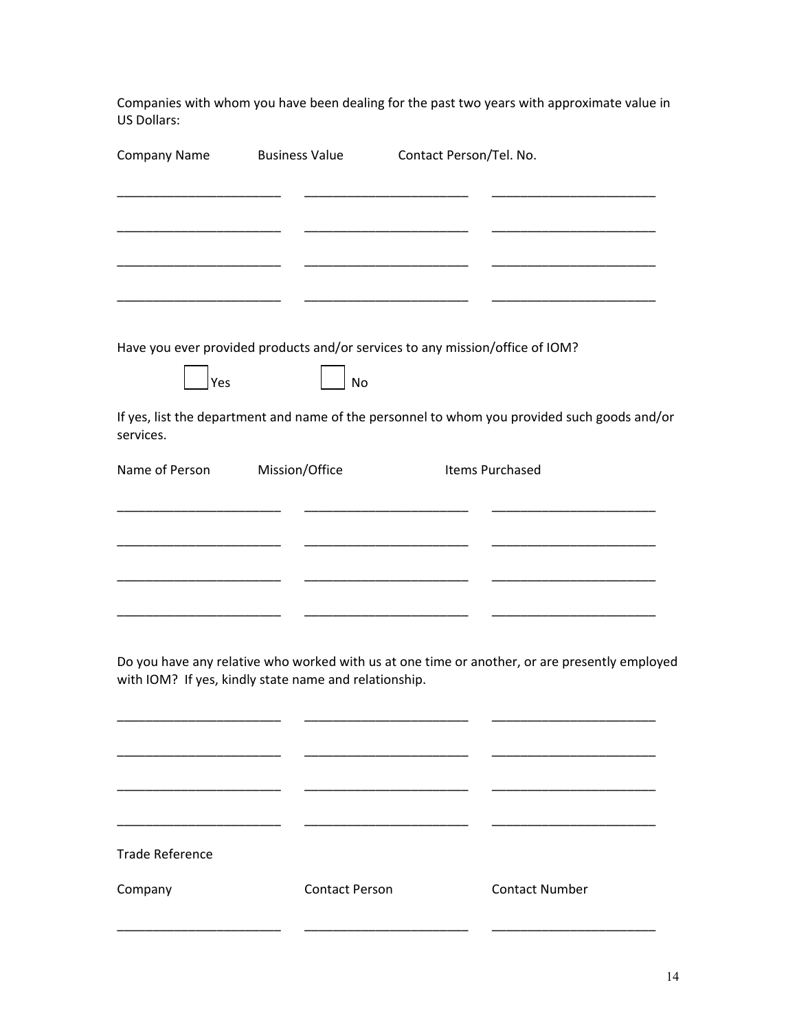Companies with whom you have been dealing for the past two years with approximate value in US Dollars:

| <b>Company Name</b>    | <b>Business Value</b>                                 | Contact Person/Tel. No.                                                                       |  |
|------------------------|-------------------------------------------------------|-----------------------------------------------------------------------------------------------|--|
|                        |                                                       |                                                                                               |  |
|                        |                                                       |                                                                                               |  |
|                        |                                                       |                                                                                               |  |
|                        |                                                       |                                                                                               |  |
|                        |                                                       | Have you ever provided products and/or services to any mission/office of IOM?                 |  |
| Yes                    | No                                                    |                                                                                               |  |
| services.              |                                                       | If yes, list the department and name of the personnel to whom you provided such goods and/or  |  |
| Name of Person         | Mission/Office                                        | Items Purchased                                                                               |  |
|                        |                                                       |                                                                                               |  |
|                        |                                                       |                                                                                               |  |
|                        |                                                       |                                                                                               |  |
|                        |                                                       |                                                                                               |  |
|                        | with IOM? If yes, kindly state name and relationship. | Do you have any relative who worked with us at one time or another, or are presently employed |  |
|                        |                                                       |                                                                                               |  |
|                        |                                                       |                                                                                               |  |
|                        |                                                       |                                                                                               |  |
| <b>Trade Reference</b> |                                                       |                                                                                               |  |
| Company                | <b>Contact Person</b>                                 | <b>Contact Number</b>                                                                         |  |
|                        |                                                       |                                                                                               |  |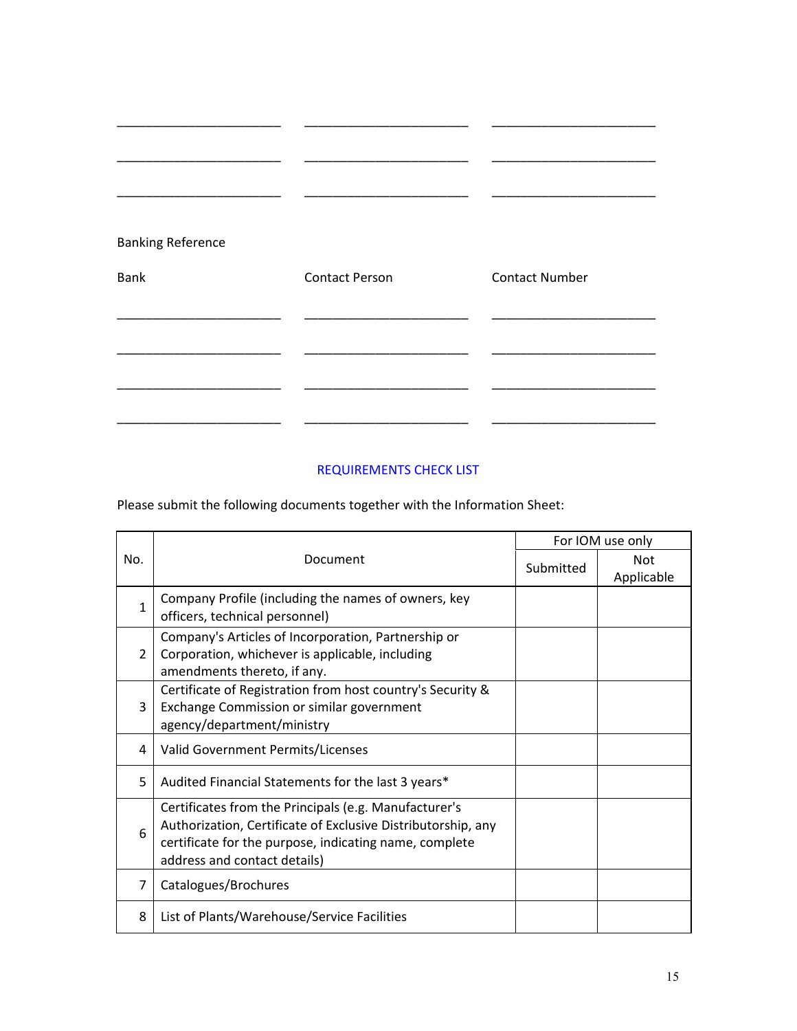| <b>Banking Reference</b><br>Bank | <b>Contact Person</b> | <b>Contact Number</b> |
|----------------------------------|-----------------------|-----------------------|
|                                  |                       |                       |
|                                  |                       |                       |

# REQUIREMENTS CHECK LIST

Please submit the following documents together with the Information Sheet:

|                |                                                                                                                                                                                                                 | For IOM use only |                          |
|----------------|-----------------------------------------------------------------------------------------------------------------------------------------------------------------------------------------------------------------|------------------|--------------------------|
| No.            | Document                                                                                                                                                                                                        | Submitted        | <b>Not</b><br>Applicable |
| $\mathbf{1}$   | Company Profile (including the names of owners, key<br>officers, technical personnel)                                                                                                                           |                  |                          |
| $\overline{2}$ | Company's Articles of Incorporation, Partnership or<br>Corporation, whichever is applicable, including<br>amendments thereto, if any.                                                                           |                  |                          |
| 3              | Certificate of Registration from host country's Security &<br>Exchange Commission or similar government<br>agency/department/ministry                                                                           |                  |                          |
| 4              | Valid Government Permits/Licenses                                                                                                                                                                               |                  |                          |
| 5              | Audited Financial Statements for the last 3 years*                                                                                                                                                              |                  |                          |
| 6              | Certificates from the Principals (e.g. Manufacturer's<br>Authorization, Certificate of Exclusive Distributorship, any<br>certificate for the purpose, indicating name, complete<br>address and contact details) |                  |                          |
| 7              | Catalogues/Brochures                                                                                                                                                                                            |                  |                          |
| 8              | List of Plants/Warehouse/Service Facilities                                                                                                                                                                     |                  |                          |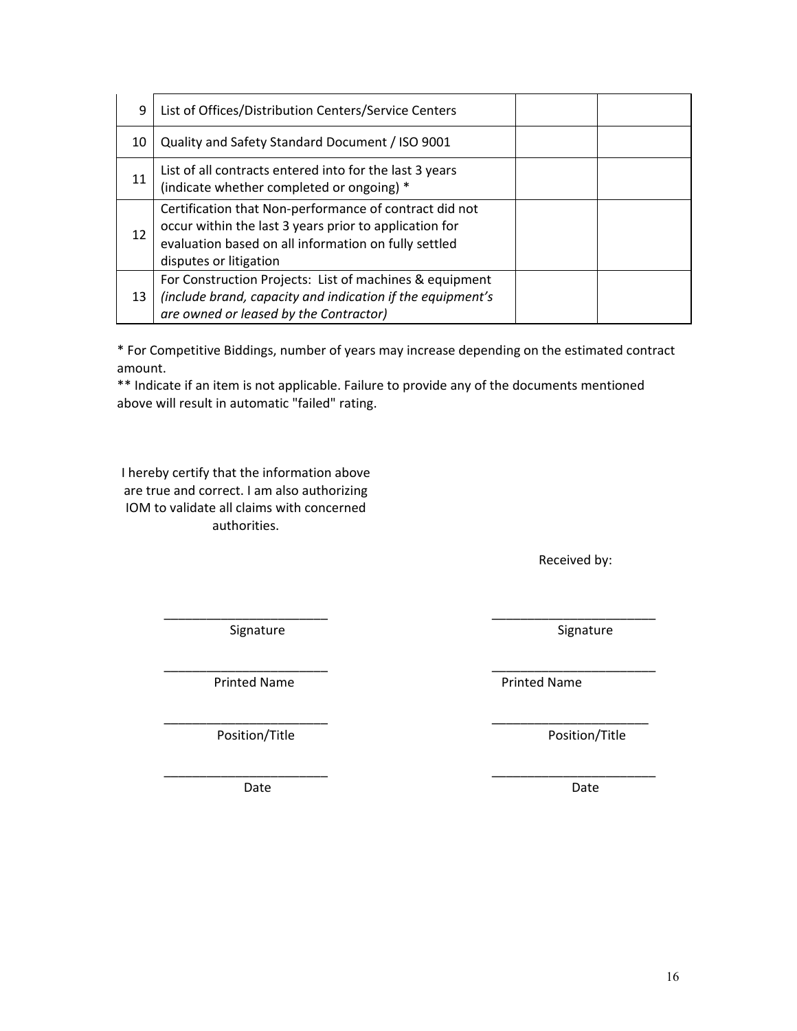| Date | Date |
|------|------|
|      |      |
|      |      |
|      |      |
|      |      |
|      |      |

16

\_\_\_\_\_\_\_\_\_\_\_\_\_\_\_\_\_\_\_\_\_\_\_ \_\_\_\_\_\_\_\_\_\_\_\_\_\_\_\_\_\_\_\_\_\_\_

Printed Name **Printed Name Printed Name** 

Position/Title **Distribution** Position/Title

\_\_\_\_\_\_\_\_\_\_\_\_\_\_\_\_\_\_\_\_\_\_\_ \_\_\_\_\_\_\_\_\_\_\_\_\_\_\_\_\_\_\_\_\_\_\_

|  | 10 | Quality and Safety Standard Document / ISO 9001                                                                                                                                                    |  |
|--|----|----------------------------------------------------------------------------------------------------------------------------------------------------------------------------------------------------|--|
|  | 11 | List of all contracts entered into for the last 3 years<br>(indicate whether completed or ongoing) *                                                                                               |  |
|  | 12 | Certification that Non-performance of contract did not<br>occur within the last 3 years prior to application for<br>evaluation based on all information on fully settled<br>disputes or litigation |  |
|  | 13 | For Construction Projects: List of machines & equipment<br>(include brand, capacity and indication if the equipment's<br>are owned or leased by the Contractor)                                    |  |

9 | List of Offices/Distribution Centers/Service Centers

\* For Competitive Biddings, number of years may increase depending on the estimated contract amount.

\_\_\_\_\_\_\_\_\_\_\_\_\_\_\_\_\_\_\_\_\_\_\_ \_\_\_\_\_\_\_\_\_\_\_\_\_\_\_\_\_\_\_\_\_\_\_

\*\* Indicate if an item is not applicable. Failure to provide any of the documents mentioned above will result in automatic "failed" rating.

I hereby certify that the information above are true and correct. I am also authorizing IOM to validate all claims with concerned

authorities.

Signature Signature **Signature** Signature **Signature** 

Received by:

\_\_\_\_\_\_\_\_\_\_\_\_\_\_\_\_\_\_\_\_\_\_\_ \_\_\_\_\_\_\_\_\_\_\_\_\_\_\_\_\_\_\_\_\_\_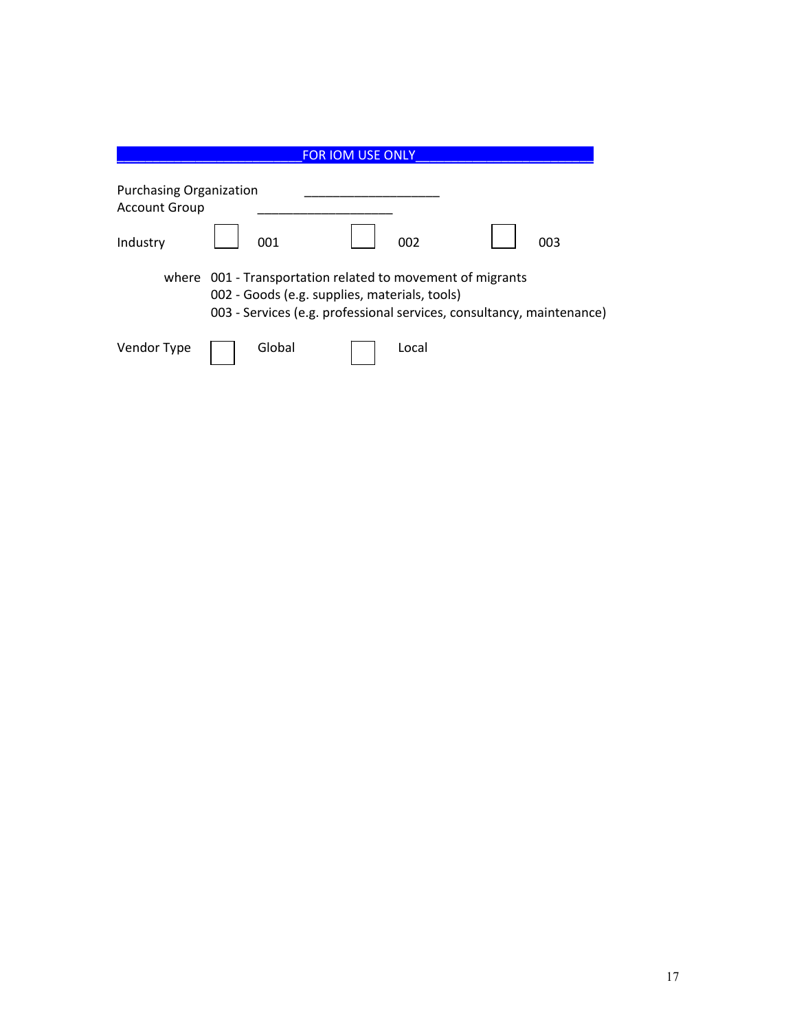|                      |                                | <b>FOR IOM USE ONLY</b>                                                                                     |                                                                       |
|----------------------|--------------------------------|-------------------------------------------------------------------------------------------------------------|-----------------------------------------------------------------------|
| <b>Account Group</b> | <b>Purchasing Organization</b> |                                                                                                             |                                                                       |
| Industry             | 001                            | 002                                                                                                         | 003                                                                   |
|                      |                                | where 001 - Transportation related to movement of migrants<br>002 - Goods (e.g. supplies, materials, tools) | 003 - Services (e.g. professional services, consultancy, maintenance) |
| Vendor Type          | Global                         | Local                                                                                                       |                                                                       |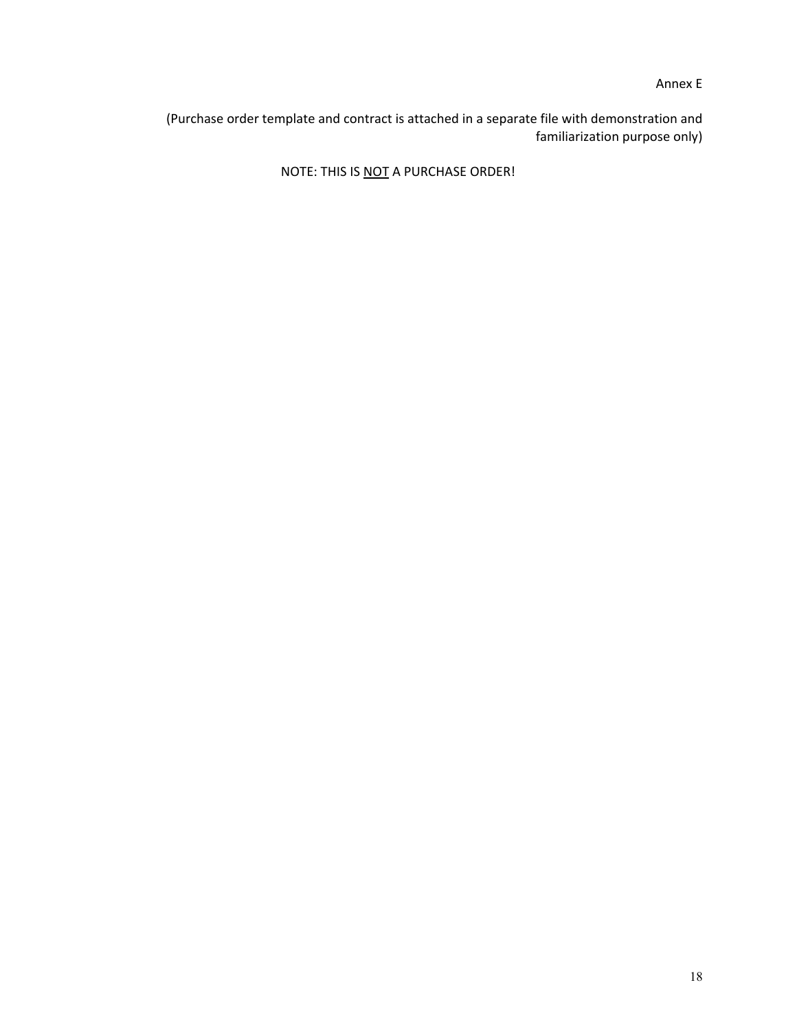Annex E

(Purchase order template and contract is attached in a separate file with demonstration and familiarization purpose only)

NOTE: THIS IS NOT A PURCHASE ORDER!